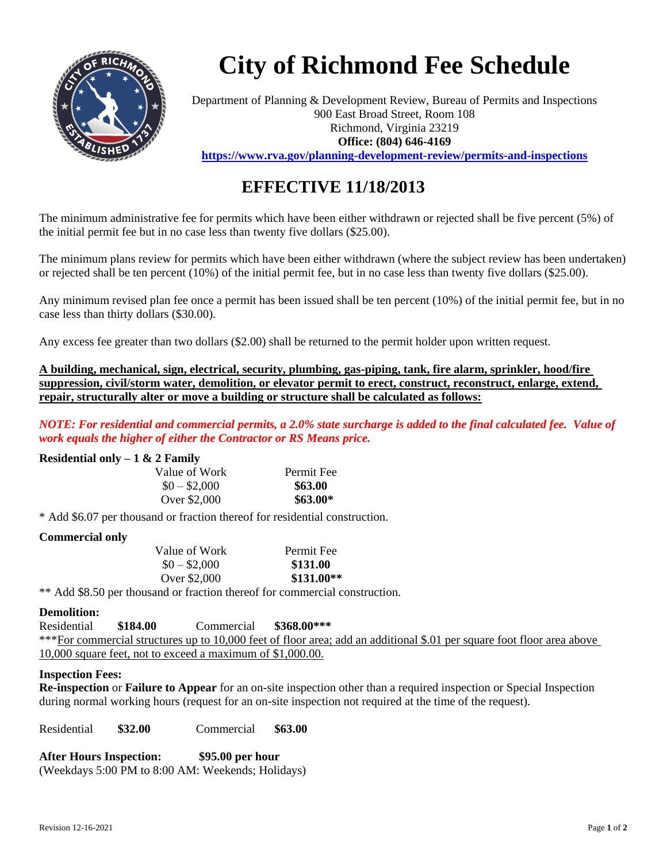

# **City of Richmond Fee Schedule**

Department of Planning & Development Review, Bureau of Permits and Inspections 900 East Broad Street, Room 108 Richmond, Virginia 23219 **Office: (804) 646-4169 <https://www.rva.gov/planning-development-review/permits-and-inspections>**

## **EFFECTIVE 11/18/2013**

The minimum administrative fee for permits which have been either withdrawn or rejected shall be five percent (5%) of the initial permit fee but in no case less than twenty five dollars (\$25.00).

The minimum plans review for permits which have been either withdrawn (where the subject review has been undertaken) or rejected shall be ten percent (10%) of the initial permit fee, but in no case less than twenty five dollars (\$25.00).

Any minimum revised plan fee once a permit has been issued shall be ten percent (10%) of the initial permit fee, but in no case less than thirty dollars (\$30.00).

Any excess fee greater than two dollars (\$2.00) shall be returned to the permit holder upon written request.

**A building, mechanical, sign, electrical, security, plumbing, gas-piping, tank, fire alarm, sprinkler, hood/fire suppression, civil/storm water, demolition, or elevator permit to erect, construct, reconstruct, enlarge, extend, repair, structurally alter or move a building or structure shall be calculated as follows:**

*NOTE: For residential and commercial permits, a 2.0% state surcharge is added to the final calculated fee. Value of work equals the higher of either the Contractor or RS Means price.*

### **Residential only – 1 & 2 Family**

| Value of Work | Permit Fee |
|---------------|------------|
| $$0 - $2,000$ | \$63.00    |
| Over \$2,000  | $$63.00*$  |

\* Add \$6.07 per thousand or fraction thereof for residential construction.

#### **Commercial only**

| Value of Work | Permit Fee  |
|---------------|-------------|
| $$0 - $2,000$ | \$131.00    |
| Over \$2,000  | $$131.00**$ |
|               |             |

\*\* Add \$8.50 per thousand or fraction thereof for commercial construction.

#### **Demolition:**

Residential **\$184.00** Commercial **\$368.00\*\*\*** \*\*\*For commercial structures up to 10,000 feet of floor area; add an additional \$.01 per square foot floor area above 10,000 square feet, not to exceed a maximum of \$1,000.00.

#### **Inspection Fees:**

**Re-inspection** or **Failure to Appear** for an on-site inspection other than a required inspection or Special Inspection during normal working hours (request for an on-site inspection not required at the time of the request).

Residential **\$32.00** Commercial **\$63.00**

**After Hours Inspection: \$95.00 per hour** (Weekdays 5:00 PM to 8:00 AM: Weekends; Holidays)